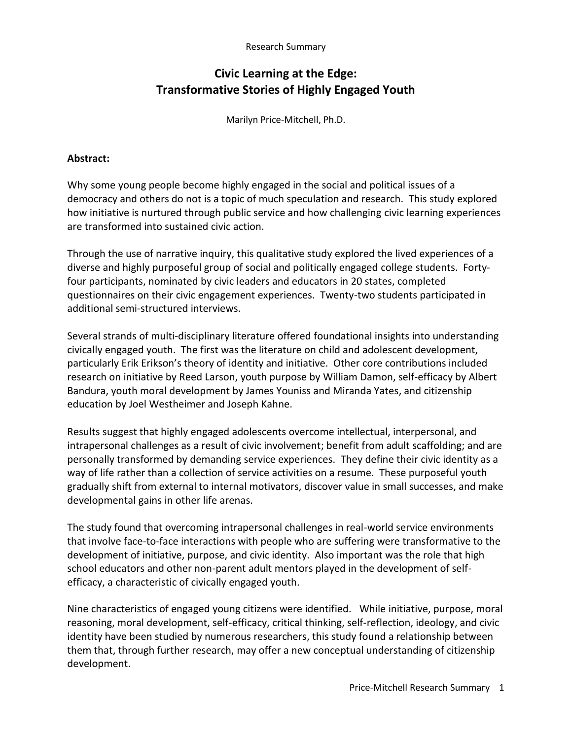#### Research Summary

# **Civic Learning at the Edge: Transformative Stories of Highly Engaged Youth**

Marilyn Price-Mitchell, Ph.D.

#### **Abstract:**

Why some young people become highly engaged in the social and political issues of a democracy and others do not is a topic of much speculation and research. This study explored how initiative is nurtured through public service and how challenging civic learning experiences are transformed into sustained civic action.

Through the use of narrative inquiry, this qualitative study explored the lived experiences of a diverse and highly purposeful group of social and politically engaged college students. Fortyfour participants, nominated by civic leaders and educators in 20 states, completed questionnaires on their civic engagement experiences. Twenty-two students participated in additional semi-structured interviews.

Several strands of multi-disciplinary literature offered foundational insights into understanding civically engaged youth. The first was the literature on child and adolescent development, particularly Erik Erikson's theory of identity and initiative. Other core contributions included research on initiative by Reed Larson, youth purpose by William Damon, self-efficacy by Albert Bandura, youth moral development by James Youniss and Miranda Yates, and citizenship education by Joel Westheimer and Joseph Kahne.

Results suggest that highly engaged adolescents overcome intellectual, interpersonal, and intrapersonal challenges as a result of civic involvement; benefit from adult scaffolding; and are personally transformed by demanding service experiences. They define their civic identity as a way of life rather than a collection of service activities on a resume. These purposeful youth gradually shift from external to internal motivators, discover value in small successes, and make developmental gains in other life arenas.

The study found that overcoming intrapersonal challenges in real-world service environments that involve face-to-face interactions with people who are suffering were transformative to the development of initiative, purpose, and civic identity. Also important was the role that high school educators and other non-parent adult mentors played in the development of selfefficacy, a characteristic of civically engaged youth.

Nine characteristics of engaged young citizens were identified. While initiative, purpose, moral reasoning, moral development, self-efficacy, critical thinking, self-reflection, ideology, and civic identity have been studied by numerous researchers, this study found a relationship between them that, through further research, may offer a new conceptual understanding of citizenship development.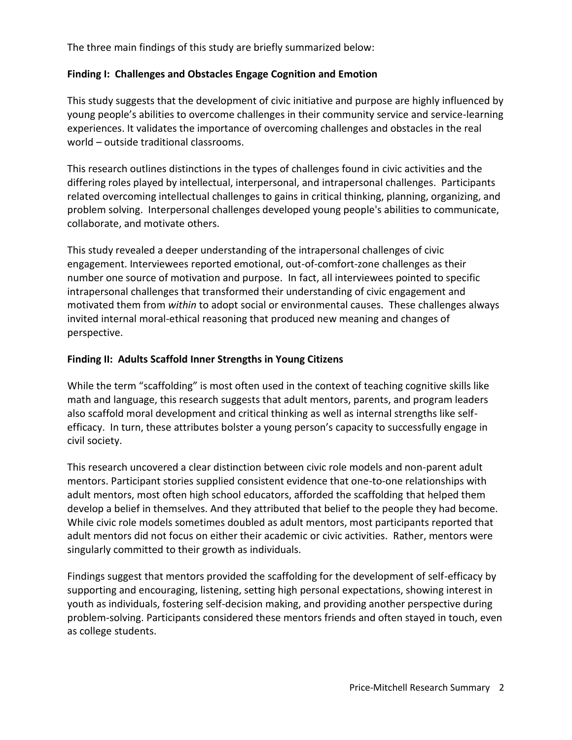The three main findings of this study are briefly summarized below:

# **Finding I: Challenges and Obstacles Engage Cognition and Emotion**

This study suggests that the development of civic initiative and purpose are highly influenced by young people's abilities to overcome challenges in their community service and service-learning experiences. It validates the importance of overcoming challenges and obstacles in the real world – outside traditional classrooms.

This research outlines distinctions in the types of challenges found in civic activities and the differing roles played by intellectual, interpersonal, and intrapersonal challenges. Participants related overcoming intellectual challenges to gains in critical thinking, planning, organizing, and problem solving. Interpersonal challenges developed young people's abilities to communicate, collaborate, and motivate others.

This study revealed a deeper understanding of the intrapersonal challenges of civic engagement. Interviewees reported emotional, out-of-comfort-zone challenges as their number one source of motivation and purpose. In fact, all interviewees pointed to specific intrapersonal challenges that transformed their understanding of civic engagement and motivated them from *within* to adopt social or environmental causes. These challenges always invited internal moral-ethical reasoning that produced new meaning and changes of perspective.

# **Finding II: Adults Scaffold Inner Strengths in Young Citizens**

While the term "scaffolding" is most often used in the context of teaching cognitive skills like math and language, this research suggests that adult mentors, parents, and program leaders also scaffold moral development and critical thinking as well as internal strengths like selfefficacy. In turn, these attributes bolster a young person's capacity to successfully engage in civil society.

This research uncovered a clear distinction between civic role models and non-parent adult mentors. Participant stories supplied consistent evidence that one-to-one relationships with adult mentors, most often high school educators, afforded the scaffolding that helped them develop a belief in themselves. And they attributed that belief to the people they had become. While civic role models sometimes doubled as adult mentors, most participants reported that adult mentors did not focus on either their academic or civic activities. Rather, mentors were singularly committed to their growth as individuals.

Findings suggest that mentors provided the scaffolding for the development of self-efficacy by supporting and encouraging, listening, setting high personal expectations, showing interest in youth as individuals, fostering self-decision making, and providing another perspective during problem-solving. Participants considered these mentors friends and often stayed in touch, even as college students.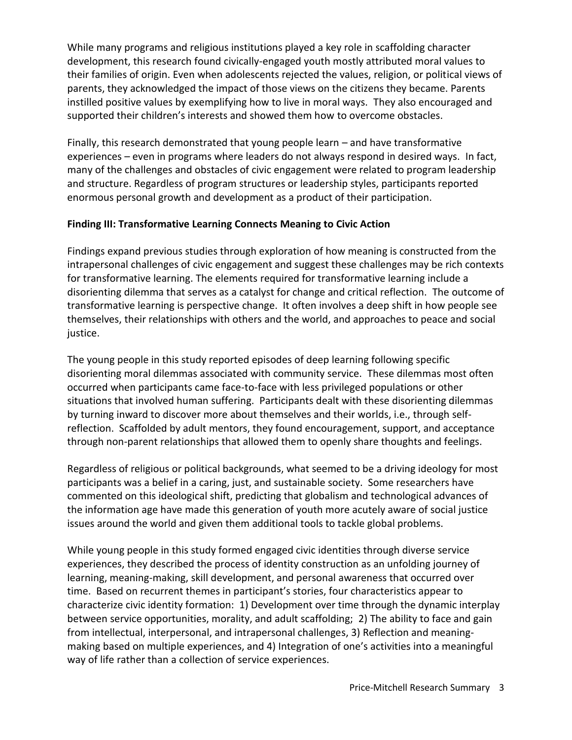While many programs and religious institutions played a key role in scaffolding character development, this research found civically-engaged youth mostly attributed moral values to their families of origin. Even when adolescents rejected the values, religion, or political views of parents, they acknowledged the impact of those views on the citizens they became. Parents instilled positive values by exemplifying how to live in moral ways. They also encouraged and supported their children's interests and showed them how to overcome obstacles.

Finally, this research demonstrated that young people learn – and have transformative experiences – even in programs where leaders do not always respond in desired ways. In fact, many of the challenges and obstacles of civic engagement were related to program leadership and structure. Regardless of program structures or leadership styles, participants reported enormous personal growth and development as a product of their participation.

#### **Finding III: Transformative Learning Connects Meaning to Civic Action**

Findings expand previous studies through exploration of how meaning is constructed from the intrapersonal challenges of civic engagement and suggest these challenges may be rich contexts for transformative learning. The elements required for transformative learning include a disorienting dilemma that serves as a catalyst for change and critical reflection. The outcome of transformative learning is perspective change. It often involves a deep shift in how people see themselves, their relationships with others and the world, and approaches to peace and social justice.

The young people in this study reported episodes of deep learning following specific disorienting moral dilemmas associated with community service. These dilemmas most often occurred when participants came face-to-face with less privileged populations or other situations that involved human suffering. Participants dealt with these disorienting dilemmas by turning inward to discover more about themselves and their worlds, i.e., through selfreflection. Scaffolded by adult mentors, they found encouragement, support, and acceptance through non-parent relationships that allowed them to openly share thoughts and feelings.

Regardless of religious or political backgrounds, what seemed to be a driving ideology for most participants was a belief in a caring, just, and sustainable society. Some researchers have commented on this ideological shift, predicting that globalism and technological advances of the information age have made this generation of youth more acutely aware of social justice issues around the world and given them additional tools to tackle global problems.

While young people in this study formed engaged civic identities through diverse service experiences, they described the process of identity construction as an unfolding journey of learning, meaning-making, skill development, and personal awareness that occurred over time. Based on recurrent themes in participant's stories, four characteristics appear to characterize civic identity formation: 1) Development over time through the dynamic interplay between service opportunities, morality, and adult scaffolding; 2) The ability to face and gain from intellectual, interpersonal, and intrapersonal challenges, 3) Reflection and meaningmaking based on multiple experiences, and 4) Integration of one's activities into a meaningful way of life rather than a collection of service experiences.